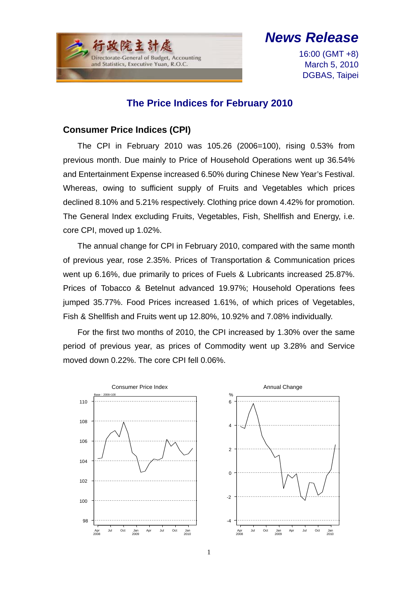$\overline{a}$ Directorate-General of Budget, Accounting and Statistics, Executive Yuan, R.O.C.

# *News Release*

16:00 (GMT +8) March 5, 2010 DGBAS, Taipei

### **The Price Indices for February 2010**

#### **Consumer Price Indices (CPI)**

The CPI in February 2010 was 105.26 (2006=100), rising 0.53% from previous month. Due mainly to Price of Household Operations went up 36.54% and Entertainment Expense increased 6.50% during Chinese New Year's Festival. Whereas, owing to sufficient supply of Fruits and Vegetables which prices declined 8.10% and 5.21% respectively. Clothing price down 4.42% for promotion. The General Index excluding Fruits, Vegetables, Fish, Shellfish and Energy, i.e. core CPI, moved up 1.02%.

The annual change for CPI in February 2010, compared with the same month of previous year, rose 2.35%. Prices of Transportation & Communication prices went up 6.16%, due primarily to prices of Fuels & Lubricants increased 25.87%. Prices of Tobacco & Betelnut advanced 19.97%; Household Operations fees jumped 35.77%. Food Prices increased 1.61%, of which prices of Vegetables, Fish & Shellfish and Fruits went up 12.80%, 10.92% and 7.08% individually.

For the first two months of 2010, the CPI increased by 1.30% over the same period of previous year, as prices of Commodity went up 3.28% and Service moved down 0.22%. The core CPI fell 0.06%.

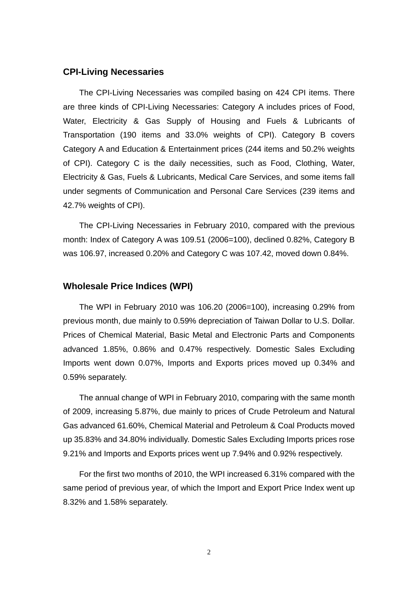#### **CPI-Living Necessaries**

The CPI-Living Necessaries was compiled basing on 424 CPI items. There are three kinds of CPI-Living Necessaries: Category A includes prices of Food, Water, Electricity & Gas Supply of Housing and Fuels & Lubricants of Transportation (190 items and 33.0% weights of CPI). Category B covers Category A and Education & Entertainment prices (244 items and 50.2% weights of CPI). Category C is the daily necessities, such as Food, Clothing, Water, Electricity & Gas, Fuels & Lubricants, Medical Care Services, and some items fall under segments of Communication and Personal Care Services (239 items and 42.7% weights of CPI).

The CPI-Living Necessaries in February 2010, compared with the previous month: Index of Category A was 109.51 (2006=100), declined 0.82%, Category B was 106.97, increased 0.20% and Category C was 107.42, moved down 0.84%.

#### **Wholesale Price Indices (WPI)**

The WPI in February 2010 was 106.20 (2006=100), increasing 0.29% from previous month, due mainly to 0.59% depreciation of Taiwan Dollar to U.S. Dollar. Prices of Chemical Material, Basic Metal and Electronic Parts and Components advanced 1.85%, 0.86% and 0.47% respectively. Domestic Sales Excluding Imports went down 0.07%, Imports and Exports prices moved up 0.34% and 0.59% separately.

The annual change of WPI in February 2010, comparing with the same month of 2009, increasing 5.87%, due mainly to prices of Crude Petroleum and Natural Gas advanced 61.60%, Chemical Material and Petroleum & Coal Products moved up 35.83% and 34.80% individually. Domestic Sales Excluding Imports prices rose 9.21% and Imports and Exports prices went up 7.94% and 0.92% respectively.

For the first two months of 2010, the WPI increased 6.31% compared with the same period of previous year, of which the Import and Export Price Index went up 8.32% and 1.58% separately.

2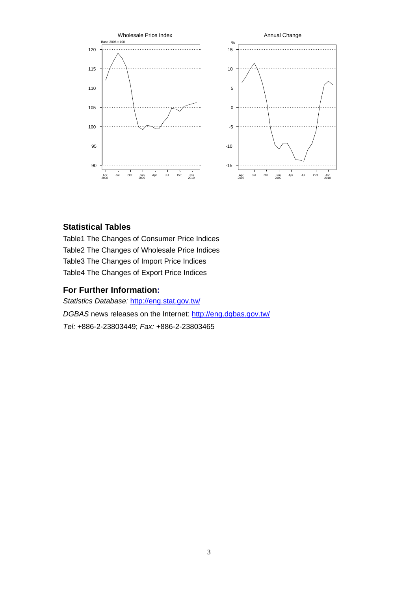

#### **Statistical Tables**

Table1 The Changes of Consumer Price Indices Table2 The Changes of Wholesale Price Indices Table3 The Changes of Import Price Indices Table4 The Changes of Export Price Indices

#### **For Further Information:**

*Statistics Database:* http://eng.stat.gov.tw/ *DGBAS* news releases on the Internet: http://eng.dgbas.gov.tw/ *Tel:* +886-2-23803449; *Fax:* +886-2-23803465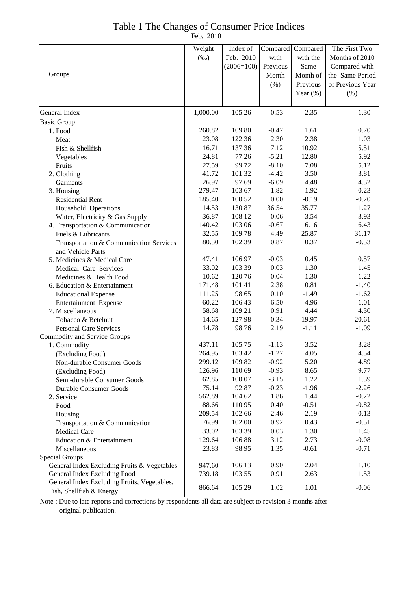## Table 1 The Changes of Consumer Price Indices

Feb. 2010

|                                                                         | Weight   | Index of     | Compared | Compared    | The First Two    |
|-------------------------------------------------------------------------|----------|--------------|----------|-------------|------------------|
|                                                                         | $(\%0)$  | Feb. 2010    | with     | with the    | Months of 2010   |
|                                                                         |          | $(2006=100)$ | Previous | Same        | Compared with    |
| Groups                                                                  |          |              | Month    | Month of    | the Same Period  |
|                                                                         |          |              | (% )     | Previous    | of Previous Year |
|                                                                         |          |              |          |             |                  |
|                                                                         |          |              |          | Year $(\%)$ | (% )             |
| General Index                                                           | 1,000.00 | 105.26       | 0.53     | 2.35        | 1.30             |
| <b>Basic Group</b>                                                      |          |              |          |             |                  |
| 1. Food                                                                 | 260.82   | 109.80       | $-0.47$  | 1.61        | 0.70             |
| Meat                                                                    | 23.08    | 122.36       | 2.30     | 2.38        | 1.03             |
| Fish & Shellfish                                                        | 16.71    | 137.36       | 7.12     | 10.92       | 5.51             |
| Vegetables                                                              | 24.81    | 77.26        | $-5.21$  | 12.80       | 5.92             |
| Fruits                                                                  | 27.59    | 99.72        | $-8.10$  | 7.08        | 5.12             |
| 2. Clothing                                                             | 41.72    | 101.32       | $-4.42$  | 3.50        | 3.81             |
| Garments                                                                | 26.97    | 97.69        | $-6.09$  | 4.48        | 4.32             |
| 3. Housing                                                              | 279.47   | 103.67       | 1.82     | 1.92        | 0.23             |
| <b>Residential Rent</b>                                                 | 185.40   | 100.52       | 0.00     | $-0.19$     | $-0.20$          |
| Household Operations                                                    | 14.53    | 130.87       | 36.54    | 35.77       | 1.27             |
| Water, Electricity & Gas Supply                                         | 36.87    | 108.12       | 0.06     | 3.54        | 3.93             |
| 4. Transportation & Communication                                       | 140.42   | 103.06       | $-0.67$  | 6.16        | 6.43             |
| Fuels & Lubricants                                                      | 32.55    | 109.78       | $-4.49$  | 25.87       | 31.17            |
| Transportation & Communication Services                                 | 80.30    | 102.39       | 0.87     | 0.37        | $-0.53$          |
| and Vehicle Parts                                                       |          |              |          |             |                  |
| 5. Medicines & Medical Care                                             | 47.41    | 106.97       | $-0.03$  | 0.45        | 0.57             |
| Medical Care Services                                                   | 33.02    | 103.39       | 0.03     | 1.30        | 1.45             |
| Medicines & Health Food                                                 | 10.62    | 120.76       | $-0.04$  | $-1.30$     | $-1.22$          |
| 6. Education & Entertainment                                            | 171.48   | 101.41       | 2.38     | 0.81        | $-1.40$          |
| <b>Educational Expense</b>                                              | 111.25   | 98.65        | 0.10     | $-1.49$     | $-1.62$          |
| Entertainment Expense                                                   | 60.22    | 106.43       | 6.50     | 4.96        | $-1.01$          |
| 7. Miscellaneous                                                        | 58.68    | 109.21       | 0.91     | 4.44        | 4.30             |
| Tobacco & Betelnut                                                      | 14.65    | 127.98       | 0.34     | 19.97       | 20.61            |
| <b>Personal Care Services</b>                                           | 14.78    | 98.76        | 2.19     | $-1.11$     | $-1.09$          |
| Commodity and Service Groups                                            |          |              |          |             |                  |
| 1. Commodity                                                            | 437.11   | 105.75       | $-1.13$  | 3.52        | 3.28             |
| (Excluding Food)                                                        | 264.95   | 103.42       | $-1.27$  | 4.05        | 4.54             |
| Non-durable Consumer Goods                                              | 299.12   | 109.82       | $-0.92$  | 5.20        | 4.89             |
| (Excluding Food)                                                        | 126.96   | 110.69       | $-0.93$  | 8.65        | 9.77             |
| Semi-durable Consumer Goods                                             | 62.85    | 100.07       | $-3.15$  | 1.22        | 1.39             |
| <b>Durable Consumer Goods</b>                                           | 75.14    | 92.87        | $-0.23$  | $-1.96$     | $-2.26$          |
| 2. Service                                                              | 562.89   | 104.62       | 1.86     | 1.44        | $-0.22$          |
| Food                                                                    | 88.66    | 110.95       | 0.40     | $-0.51$     | $-0.82$          |
| Housing                                                                 | 209.54   | 102.66       | 2.46     | 2.19        | $-0.13$          |
| Transportation & Communication                                          | 76.99    | 102.00       | 0.92     | 0.43        | $-0.51$          |
| <b>Medical Care</b>                                                     | 33.02    | 103.39       | 0.03     | 1.30        | 1.45             |
| Education & Entertainment                                               | 129.64   | 106.88       | 3.12     | 2.73        | $-0.08$          |
| Miscellaneous                                                           | 23.83    | 98.95        | 1.35     | $-0.61$     | $-0.71$          |
| Special Groups                                                          |          |              |          |             |                  |
| General Index Excluding Fruits & Vegetables                             | 947.60   | 106.13       | 0.90     | 2.04        | 1.10             |
| General Index Excluding Food                                            | 739.18   | 103.55       | 0.91     | 2.63        | 1.53             |
| General Index Excluding Fruits, Vegetables,<br>Fish, Shellfish & Energy | 866.64   | 105.29       | 1.02     | 1.01        | $-0.06$          |

Note : Due to late reports and corrections by respondents all data are subject to revision 3 months after original publication.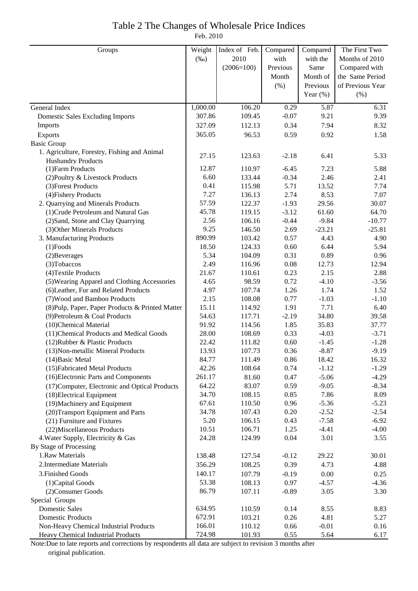# Table 2 The Changes of Wholesale Price Indices

Feb. 2010

| Groups                                           | Weight   | Index of Feb. | Compared | Compared          | The First Two    |
|--------------------------------------------------|----------|---------------|----------|-------------------|------------------|
|                                                  | $(\%0)$  | 2010          | with     | with the          | Months of 2010   |
|                                                  |          | $(2006=100)$  | Previous | Same              | Compared with    |
|                                                  |          |               | Month    | Month of          | the Same Period  |
|                                                  |          |               | (% )     | Previous          | of Previous Year |
|                                                  |          |               |          | Year $(\%)$       | (% )             |
| General Index                                    | 1,000.00 | 106.20        | 0.29     | $\overline{5.87}$ | 6.31             |
| Domestic Sales Excluding Imports                 | 307.86   | 109.45        | $-0.07$  | 9.21              | 9.39             |
| Imports                                          | 327.09   | 112.13        | 0.34     | 7.94              | 8.32             |
| Exports                                          | 365.05   | 96.53         | 0.59     | 0.92              | 1.58             |
| <b>Basic Group</b>                               |          |               |          |                   |                  |
| 1. Agriculture, Forestry, Fishing and Animal     |          |               |          |                   |                  |
| <b>Husbandry Products</b>                        | 27.15    | 123.63        | $-2.18$  | 6.41              | 5.33             |
| (1) Farm Products                                | 12.87    | 110.97        | $-6.45$  | 7.23              | 5.88             |
| (2) Poultry & Livestock Products                 | 6.60     | 133.44        | $-0.34$  | 2.46              | 2.41             |
| (3) Forest Products                              | 0.41     | 115.98        | 5.71     | 13.52             | 7.74             |
| (4) Fishery Products                             | 7.27     | 136.13        | 2.74     | 8.53              | 7.07             |
| 2. Quarrying and Minerals Products               | 57.59    | 122.37        | $-1.93$  | 29.56             | 30.07            |
| (1) Crude Petroleum and Natural Gas              | 45.78    | 119.15        | $-3.12$  | 61.60             | 64.70            |
| (2) Sand, Stone and Clay Quarrying               | 2.56     | 106.16        | $-0.44$  | $-9.84$           | $-10.77$         |
| (3) Other Minerals Products                      | 9.25     | 146.50        | 2.69     | $-23.21$          | $-25.81$         |
| 3. Manufacturing Products                        | 890.99   | 103.42        | 0.57     | 4.43              | 4.90             |
| $(1)$ Foods                                      | 18.50    | 124.33        | 0.60     | 6.44              | 5.94             |
| (2) Beverages                                    | 5.34     | 104.09        | 0.31     | 0.89              | 0.96             |
| (3) Tobaccos                                     | 2.49     | 116.96        | 0.08     | 12.73             | 12.94            |
| (4) Textile Products                             | 21.67    | 110.61        | 0.23     | 2.15              | 2.88             |
| (5) Wearing Apparel and Clothing Accessories     | 4.65     | 98.59         | 0.72     | $-4.10$           | $-3.56$          |
| (6) Leather, Fur and Related Products            | 4.97     | 107.74        | 1.26     | 1.74              | 1.52             |
| (7) Wood and Bamboo Products                     | 2.15     | 108.08        | 0.77     | $-1.03$           | $-1.10$          |
| (8) Pulp, Paper, Paper Products & Printed Matter | 15.11    | 114.92        | 1.91     | 7.71              | 6.40             |
| (9) Petroleum & Coal Products                    | 54.63    | 117.71        | $-2.19$  | 34.80             | 39.58            |
| (10)Chemical Material                            | 91.92    | 114.56        | 1.85     | 35.83             | 37.77            |
| (11) Chemical Products and Medical Goods         | 28.00    | 108.69        | 0.33     | $-4.03$           | $-3.71$          |
| (12) Rubber & Plastic Products                   | 22.42    | 111.82        | 0.60     | $-1.45$           | $-1.28$          |
| (13) Non-metallic Mineral Products               | 13.93    | 107.73        | 0.36     | $-8.87$           | $-9.19$          |
| $(14)$ Basic Metal                               | 84.77    | 111.49        | 0.86     | 18.42             | 16.32            |
| (15) Fabricated Metal Products                   | 42.26    | 108.64        | 0.74     | $-1.12$           | $-1.29$          |
| (16) Electronic Parts and Components             | 261.17   | 81.60         | 0.47     | $-5.06$           | $-4.29$          |
| (17) Computer, Electronic and Optical Products   | 64.22    | 83.07         | 0.59     | $-9.05$           | $-8.34$          |
| (18) Electrical Equipment                        | 34.70    | 108.15        | 0.85     | 7.86              | 8.09             |
| (19) Machinery and Equipment                     | 67.61    | 110.50        | 0.96     | $-5.36$           | $-5.23$          |
| (20) Transport Equipment and Parts               | 34.78    | 107.43        | 0.20     | $-2.52$           | $-2.54$          |
| (21) Furniture and Fixtures                      | 5.20     | 106.15        | 0.43     | $-7.58$           | $-6.92$          |
| (22) Miscellaneous Products                      | 10.51    | 106.71        | 1.25     | $-4.41$           | $-4.00$          |
| 4. Water Supply, Electricity & Gas               | 24.28    | 124.99        | 0.04     | 3.01              | 3.55             |
| By Stage of Processing                           |          |               |          |                   |                  |
| 1.Raw Materials                                  | 138.48   | 127.54        | $-0.12$  | 29.22             | 30.01            |
| 2. Intermediate Materials                        | 356.29   | 108.25        | 0.39     | 4.73              | 4.88             |
| 3. Finished Goods                                | 140.17   | 107.79        | $-0.19$  | 0.00              | 0.25             |
| (1) Capital Goods                                | 53.38    | 108.13        | 0.97     | $-4.57$           | $-4.36$          |
| (2) Consumer Goods                               | 86.79    | 107.11        | $-0.89$  | 3.05              | 3.30             |
| Special Groups                                   |          |               |          |                   |                  |
| <b>Domestic Sales</b>                            | 634.95   | 110.59        | 0.14     | 8.55              | 8.83             |
| <b>Domestic Products</b>                         | 672.91   | 103.21        | 0.26     | 4.81              | 5.27             |
| Non-Heavy Chemical Industrial Products           | 166.01   | 110.12        | 0.66     | $-0.01$           | 0.16             |
| Heavy Chemical Industrial Products               | 724.98   | 101.93        | 0.55     | 5.64              | 6.17             |

Note:Due to late reports and corrections by respondents all data are subject to revision 3 months after original publication.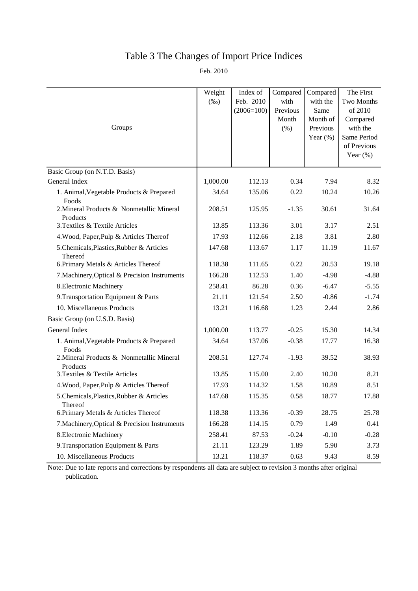## Table 3 The Changes of Import Price Indices

Feb. 2010

| Groups                                                | Weight<br>$(\%0)$ | Index of<br>Feb. 2010<br>$(2006=100)$ | Compared<br>with<br>Previous<br>Month<br>(% ) | Compared<br>with the<br>Same<br>Month of<br>Previous<br>Year $(\%)$ | The First<br>Two Months<br>of 2010<br>Compared<br>with the<br>Same Period<br>of Previous<br>Year $(\%)$ |
|-------------------------------------------------------|-------------------|---------------------------------------|-----------------------------------------------|---------------------------------------------------------------------|---------------------------------------------------------------------------------------------------------|
| Basic Group (on N.T.D. Basis)                         |                   |                                       |                                               |                                                                     |                                                                                                         |
| General Index                                         | 1,000.00          | 112.13                                | 0.34                                          | 7.94                                                                | 8.32                                                                                                    |
| 1. Animal, Vegetable Products & Prepared<br>Foods     | 34.64             | 135.06                                | 0.22                                          | 10.24                                                               | 10.26                                                                                                   |
| 2. Mineral Products & Nonmetallic Mineral<br>Products | 208.51            | 125.95                                | $-1.35$                                       | 30.61                                                               | 31.64                                                                                                   |
| 3. Textiles & Textile Articles                        | 13.85             | 113.36                                | 3.01                                          | 3.17                                                                | 2.51                                                                                                    |
| 4. Wood, Paper, Pulp & Articles Thereof               | 17.93             | 112.66                                | 2.18                                          | 3.81                                                                | 2.80                                                                                                    |
| 5.Chemicals, Plastics, Rubber & Articles<br>Thereof   | 147.68            | 113.67                                | 1.17                                          | 11.19                                                               | 11.67                                                                                                   |
| 6. Primary Metals & Articles Thereof                  | 118.38            | 111.65                                | 0.22                                          | 20.53                                                               | 19.18                                                                                                   |
| 7. Machinery, Optical & Precision Instruments         | 166.28            | 112.53                                | 1.40                                          | $-4.98$                                                             | $-4.88$                                                                                                 |
| 8. Electronic Machinery                               | 258.41            | 86.28                                 | 0.36                                          | $-6.47$                                                             | $-5.55$                                                                                                 |
| 9. Transportation Equipment & Parts                   | 21.11             | 121.54                                | 2.50                                          | $-0.86$                                                             | $-1.74$                                                                                                 |
| 10. Miscellaneous Products                            | 13.21             | 116.68                                | 1.23                                          | 2.44                                                                | 2.86                                                                                                    |
| Basic Group (on U.S.D. Basis)                         |                   |                                       |                                               |                                                                     |                                                                                                         |
| General Index                                         | 1,000.00          | 113.77                                | $-0.25$                                       | 15.30                                                               | 14.34                                                                                                   |
| 1. Animal, Vegetable Products & Prepared<br>Foods     | 34.64             | 137.06                                | $-0.38$                                       | 17.77                                                               | 16.38                                                                                                   |
| 2. Mineral Products & Nonmetallic Mineral<br>Products | 208.51            | 127.74                                | $-1.93$                                       | 39.52                                                               | 38.93                                                                                                   |
| 3. Textiles & Textile Articles                        | 13.85             | 115.00                                | 2.40                                          | 10.20                                                               | 8.21                                                                                                    |
| 4. Wood, Paper, Pulp & Articles Thereof               | 17.93             | 114.32                                | 1.58                                          | 10.89                                                               | 8.51                                                                                                    |
| 5.Chemicals, Plastics, Rubber & Articles<br>Thereof   | 147.68            | 115.35                                | 0.58                                          | 18.77                                                               | 17.88                                                                                                   |
| 6. Primary Metals & Articles Thereof                  | 118.38            | 113.36                                | $-0.39$                                       | 28.75                                                               | 25.78                                                                                                   |
| 7. Machinery, Optical & Precision Instruments         | 166.28            | 114.15                                | 0.79                                          | 1.49                                                                | 0.41                                                                                                    |
| 8. Electronic Machinery                               | 258.41            | 87.53                                 | $-0.24$                                       | $-0.10$                                                             | $-0.28$                                                                                                 |
| 9. Transportation Equipment & Parts                   | 21.11             | 123.29                                | 1.89                                          | 5.90                                                                | 3.73                                                                                                    |
| 10. Miscellaneous Products                            | 13.21             | 118.37                                | 0.63                                          | 9.43                                                                | 8.59                                                                                                    |

Note: Due to late reports and corrections by respondents all data are subject to revision 3 months after original publication.